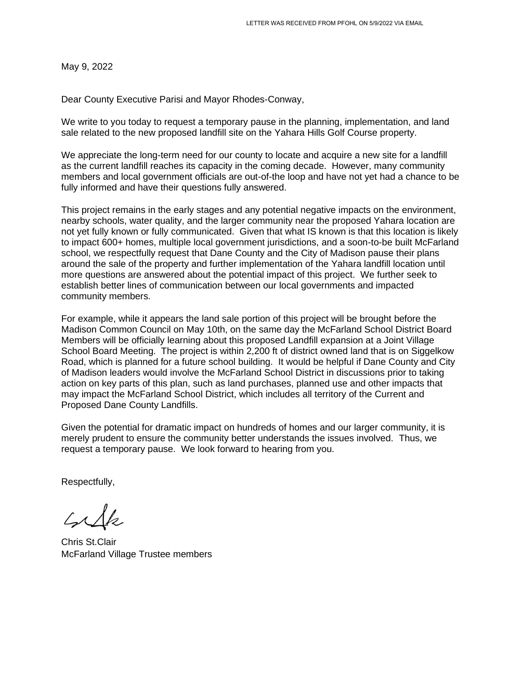May 9, 2022

Dear County Executive Parisi and Mayor Rhodes-Conway,

We write to you today to request a temporary pause in the planning, implementation, and land sale related to the new proposed landfill site on the Yahara Hills Golf Course property.

We appreciate the long-term need for our county to locate and acquire a new site for a landfill as the current landfill reaches its capacity in the coming decade. However, many community members and local government officials are out-of-the loop and have not yet had a chance to be fully informed and have their questions fully answered.

This project remains in the early stages and any potential negative impacts on the environment, nearby schools, water quality, and the larger community near the proposed Yahara location are not yet fully known or fully communicated. Given that what IS known is that this location is likely to impact 600+ homes, multiple local government jurisdictions, and a soon-to-be built McFarland school, we respectfully request that Dane County and the City of Madison pause their plans around the sale of the property and further implementation of the Yahara landfill location until more questions are answered about the potential impact of this project. We further seek to establish better lines of communication between our local governments and impacted community members.

For example, while it appears the land sale portion of this project will be brought before the Madison Common Council on May 10th, on the same day the McFarland School District Board Members will be officially learning about this proposed Landfill expansion at a Joint Village School Board Meeting. The project is within 2,200 ft of district owned land that is on Siggelkow Road, which is planned for a future school building. It would be helpful if Dane County and City of Madison leaders would involve the McFarland School District in discussions prior to taking action on key parts of this plan, such as land purchases, planned use and other impacts that may impact the McFarland School District, which includes all territory of the Current and Proposed Dane County Landfills.

Given the potential for dramatic impact on hundreds of homes and our larger community, it is merely prudent to ensure the community better understands the issues involved. Thus, we request a temporary pause. We look forward to hearing from you.

Respectfully,

Cille

Chris St.Clair McFarland Village Trustee members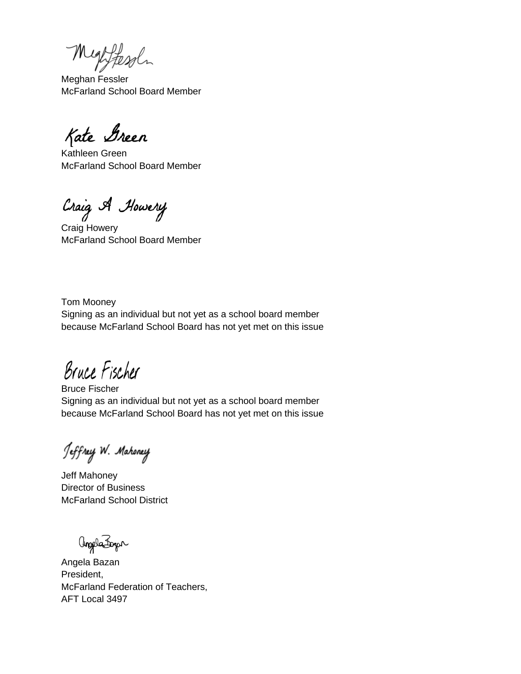Mightesoln

Meghan Fessler McFarland School Board Member

Kate Green

Kathleen Green McFarland School Board Member

Craig A Howery

Craig Howery McFarland School Board Member

Tom Mooney Signing as an individual but not yet as a school board member because McFarland School Board has not yet met on this issue

Bruce Fischer

Bruce Fischer Signing as an individual but not yet as a school board member because McFarland School Board has not yet met on this issue

Jeffrey W. Mahoney

Jeff Mahoney Director of Business McFarland School District

angele Forger

Angela Bazan President, McFarland Federation of Teachers, AFT Local 3497